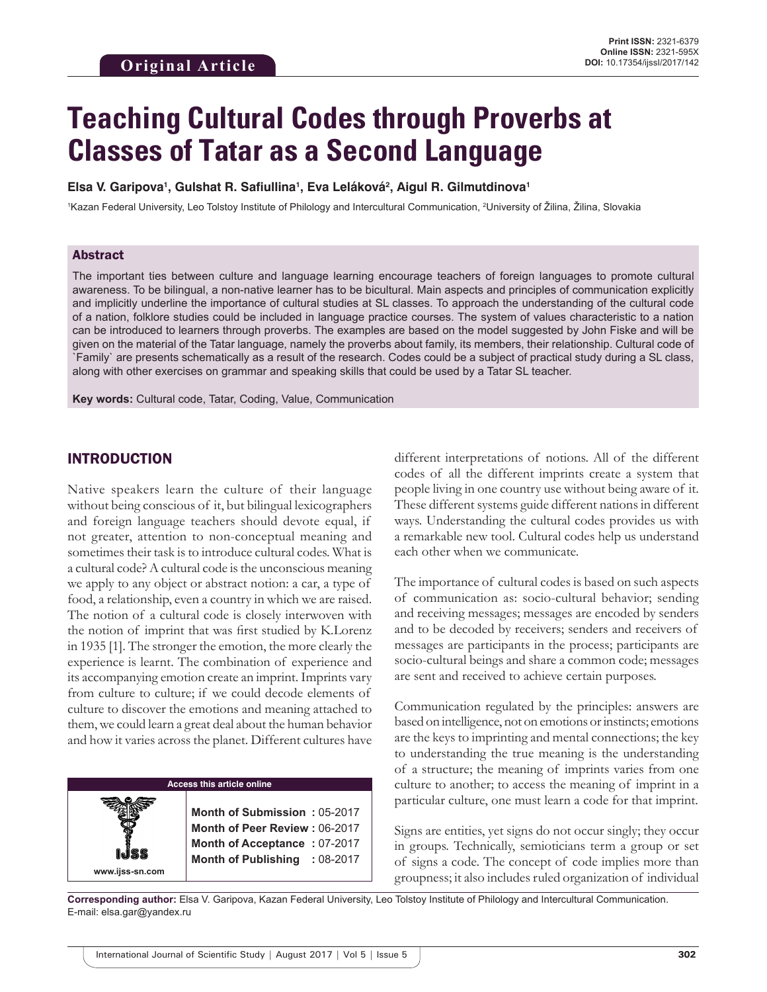# **Teaching Cultural Codes through Proverbs at Classes of Tatar as a Second Language**

**Elsa V. Garipova1 , Gulshat R. Safiullina1 , Eva Leláková2 , Aigul R. Gilmutdinova1**

<sup>1</sup>Kazan Federal University, Leo Tolstoy Institute of Philology and Intercultural Communication, <sup>2</sup>University of Žilina, Žilina, Slovakia

#### Abstract

The important ties between culture and language learning encourage teachers of foreign languages to promote cultural awareness. To be bilingual, a non-native learner has to be bicultural. Main aspects and principles of communication explicitly and implicitly underline the importance of cultural studies at SL classes. To approach the understanding of the cultural code of a nation, folklore studies could be included in language practice courses. The system of values characteristic to a nation can be introduced to learners through proverbs. The examples are based on the model suggested by John Fiske and will be given on the material of the Tatar language, namely the proverbs about family, its members, their relationship. Cultural code of `Family` are presents schematically as a result of the research. Codes could be a subject of practical study during a SL class, along with other exercises on grammar and speaking skills that could be used by a Tatar SL teacher.

**Key words:** Cultural code, Tatar, Coding, Value, Communication

#### INTRODUCTION

**www.ijss-sn.com**

Native speakers learn the culture of their language without being conscious of it, but bilingual lexicographers and foreign language teachers should devote equal, if not greater, attention to non-conceptual meaning and sometimes their task is to introduce cultural codes. What is a cultural code? A cultural code is the unconscious meaning we apply to any object or abstract notion: a car, a type of food, a relationship, even a country in which we are raised. The notion of a cultural code is closely interwoven with the notion of imprint that was first studied by K.Lorenz in 1935 [1]. The stronger the emotion, the more clearly the experience is learnt. The combination of experience and its accompanying emotion create an imprint. Imprints vary from culture to culture; if we could decode elements of culture to discover the emotions and meaning attached to them, we could learn a great deal about the human behavior and how it varies across the planet. Different cultures have

#### **Access this article online**

**Month of Submission :** 05-2017 **Month of Peer Review :** 06-2017 **Month of Acceptance :** 07-2017 **Month of Publishing :** 08-2017 different interpretations of notions. All of the different codes of all the different imprints create a system that people living in one country use without being aware of it. These different systems guide different nations in different ways. Understanding the cultural codes provides us with a remarkable new tool. Cultural codes help us understand each other when we communicate.

The importance of cultural codes is based on such aspects of communication as: socio-cultural behavior; sending and receiving messages; messages are encoded by senders and to be decoded by receivers; senders and receivers of messages are participants in the process; participants are socio-cultural beings and share a common code; messages are sent and received to achieve certain purposes.

Communication regulated by the principles: answers are based on intelligence, not on emotions or instincts; emotions are the keys to imprinting and mental connections; the key to understanding the true meaning is the understanding of a structure; the meaning of imprints varies from one culture to another; to access the meaning of imprint in a particular culture, one must learn a code for that imprint.

Signs are entities, yet signs do not occur singly; they occur in groups. Technically, semioticians term a group or set of signs a code. The concept of code implies more than groupness; it also includes ruled organization of individual

**Corresponding author:** Elsa V. Garipova, Kazan Federal University, Leo Tolstoy Institute of Philology and Intercultural Communication. E-mail: elsa.gar@yandex.ru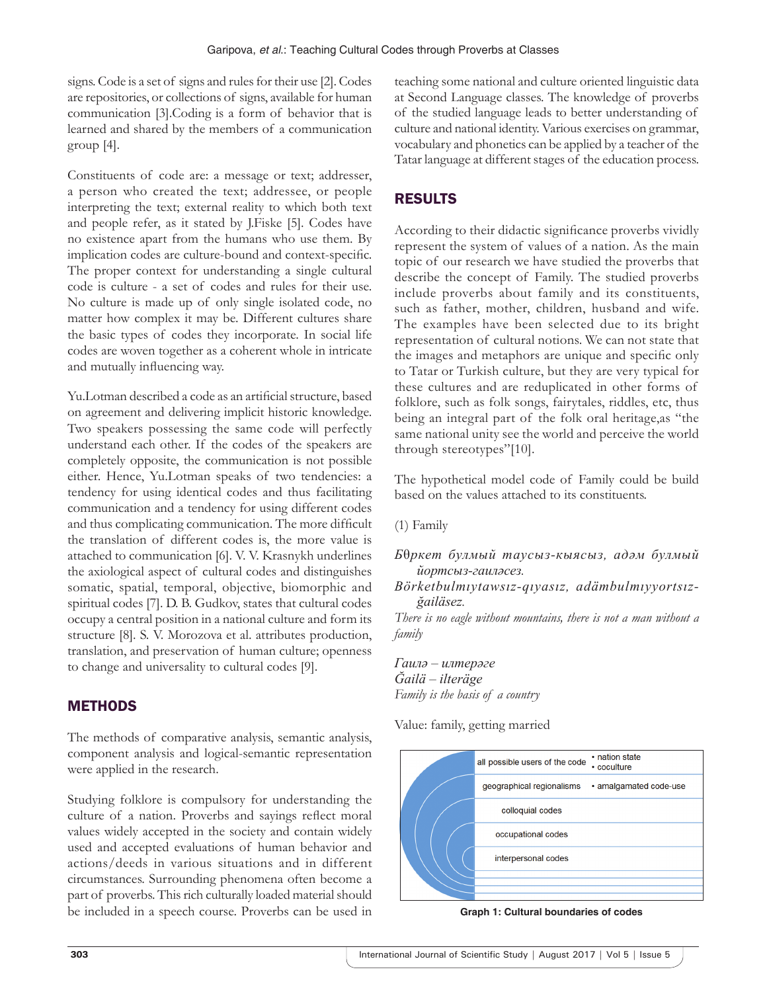signs. Code is a set of signs and rules for their use [2]. Codes are repositories, or collections of signs, available for human communication [3].Coding is a form of behavior that is learned and shared by the members of a communication group [4].

Constituents of code are: a message or text; addresser, a person who created the text; addressee, or people interpreting the text; external reality to which both text and people refer, as it stated by J.Fiske [5]. Codes have no existence apart from the humans who use them. By implication codes are culture-bound and context-specific. The proper context for understanding a single cultural code is culture - a set of codes and rules for their use. No culture is made up of only single isolated code, no matter how complex it may be. Different cultures share the basic types of codes they incorporate. In social life codes are woven together as a coherent whole in intricate and mutually influencing way.

Yu.Lotman described a code as an artificial structure, based on agreement and delivering implicit historic knowledge. Two speakers possessing the same code will perfectly understand each other. If the codes of the speakers are completely opposite, the communication is not possible either. Hence, Yu.Lotman speaks of two tendencies: a tendency for using identical codes and thus facilitating communication and a tendency for using different codes and thus complicating communication. The more difficult the translation of different codes is, the more value is attached to communication [6]. V. V. Krasnykh underlines the axiological aspect of cultural codes and distinguishes somatic, spatial, temporal, objective, biomorphic and spiritual codes [7]. D. B. Gudkov, states that cultural codes occupy a central position in a national culture and form its structure [8]. S. V. Morozova et al. attributes production, translation, and preservation of human culture; openness to change and universality to cultural codes [9].

## **METHODS**

The methods of comparative analysis, semantic analysis, component analysis and logical-semantic representation were applied in the research.

Studying folklore is compulsory for understanding the culture of a nation. Proverbs and sayings reflect moral values widely accepted in the society and contain widely used and accepted evaluations of human behavior and actions/deeds in various situations and in different circumstances. Surrounding phenomena often become a part of proverbs. This rich culturally loaded material should be included in a speech course. Proverbs can be used in teaching some national and culture oriented linguistic data at Second Language classes. The knowledge of proverbs of the studied language leads to better understanding of culture and national identity. Various exercises on grammar, vocabulary and phonetics can be applied by a teacher of the Tatar language at different stages of the education process.

## RESULTS

According to their didactic significance proverbs vividly represent the system of values of a nation. As the main topic of our research we have studied the proverbs that describe the concept of Family. The studied proverbs include proverbs about family and its constituents, such as father, mother, children, husband and wife. The examples have been selected due to its bright representation of cultural notions. We can not state that the images and metaphors are unique and specific only to Tatar or Turkish culture, but they are very typical for these cultures and are reduplicated in other forms of folklore, such as folk songs, fairytales, riddles, etc, thus being an integral part of the folk oral heritage,as "the same national unity see the world and perceive the world through stereotypes"[10].

The hypothetical model code of Family could be build based on the values attached to its constituents.

(1) Family

- *Б*θ*ркет булмый таусыз-кыясыз, адәм булмый йортсыз-гаиләсез.*
- *Börketbulmıytawsız-qıyasız, adämbulmıyyortsızğailäsez.*

*There is no eagle without mountains, there is not a man without a family*

*Гаилә – илтерәге Ğailä – ilteräge Family is the basis of a country*

Value: family, getting married



**Graph 1: Cultural boundaries of codes**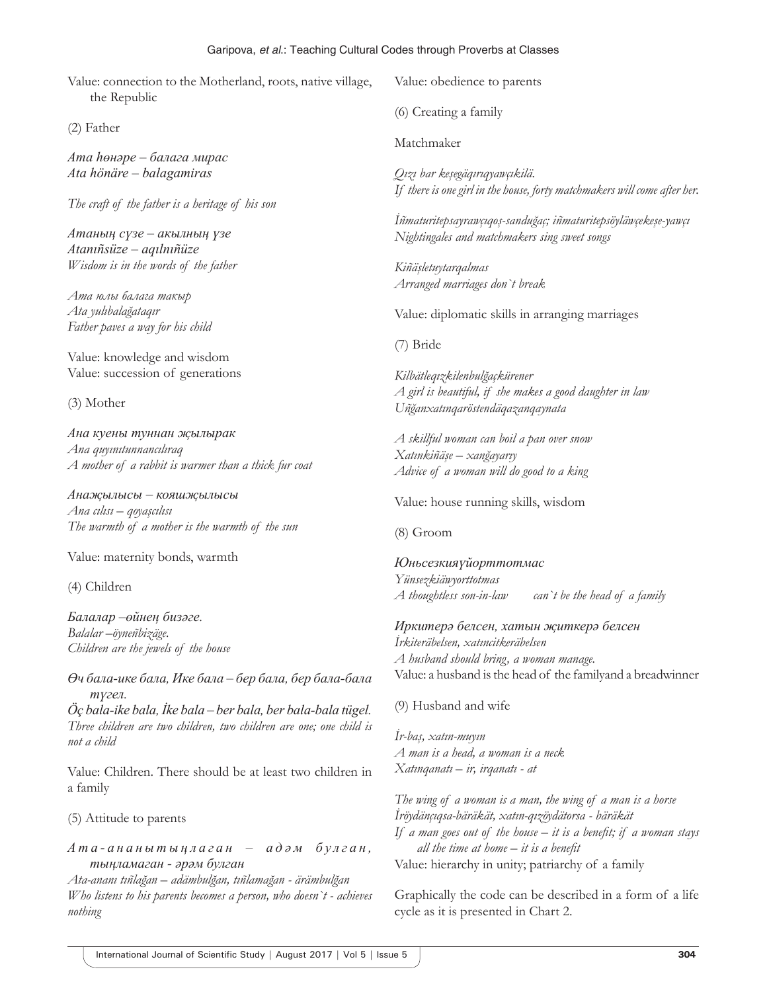#### Garipova, *et al*.: Teaching Cultural Codes through Proverbs at Classes

Value: connection to the Motherland, roots, native village, the Republic

(2) Father

*Ата һөнәре – балагa мирас Ata hönäre – balagamiras*

*The craft of the father is a heritage of his son*

*Атаның сүзе – акылның үзе Atanıñsüze – aqılnıñüze Wisdom is in the words of the father*

*Ата юлы балага такыр Ata yulıbalağataqır Father paves a way for his child*

Value: knowledge and wisdom Value: succession of generations

(3) Mother

*Ана куены туннан җылырак Ana quyınıtunnancılıraq A mother of a rabbit is warmer than a thick fur coat*

*Анаҗылысы – кояшҗылысы Ana cılısı – qoyaşcılısı The warmth of a mother is the warmth of the sun*

Value: maternity bonds, warmth

(4) Children

*Балалар –өйнең бизәге. Balalar –öyneñbizäge. Children are the jewels of the house*

*Өч бала-ике бала, Ике бала – бер бала, бер бала-бала түгел.*

*Öç bala-ike bala, İke bala – ber bala, ber bala-bala tügel. Three children are two children, two children are one; one child is not a child*

Value: Children. There should be at least two children in a family

(5) Attitude to parents

*А т а - а н а н ы т ы ң л а г а н – а д ә м б у л г а н , тыңламаган - әрәм булган*

*Ata-ananı tıñlağan – adämbulğan, tıñlamağan - ärämbulğan Who listens to his parents becomes a person, who doesn`t - achieves nothing*

Value: obedience to parents

(6) Creating a family

Matchmaker

*Qızı bar keşegäqırıqyawçıkilä. If there is one girl in the house, forty matchmakers will come after her.*

*İñmaturitepsayrawçıqoş-sanduğaç; iñmaturitepsöyläwçekeşe-yawçı Nightingales and matchmakers sing sweet songs*

*Kiñäşletuytarqalmas Arranged marriages don`t break*

Value: diplomatic skills in arranging marriages

(7) Bride

*Kilbätleqızkilenbulğaçkürener A girl is beautiful, if she makes a good daughter in law Uñğanxatınqaröstendäqazanqaynata*

*A skillful woman can boil a pan over snow Xatınkiñäşe – xanğayarıy Advice of a woman will do good to a king*

Value: house running skills, wisdom

(8) Groom

*Юньсезкияүйорттотмас Yünsezkiäwyorttotmas A thoughtless son-in-law can`t be the head of a family*

*Иркитерә белсен, хатын җиткерә белсен İrkiteräbelsen, xatıncitkeräbelsen A husband should bring, a woman manage.* Value: a husband is the head of the familyand a breadwinner

(9) Husband and wife

*İr-baş, xatın-muyın A man is a head, a woman is a neck Xatınqanatı – ir, irqanatı - at*

*The wing of a woman is a man, the wing of a man is a horse İröydänçıqsa-bäräkät, xatın-qızöydätorsa - bäräkät If a man goes out of the house – it is a benefit; if a woman stays all the time at home – it is a benefit* Value: hierarchy in unity; patriarchy of a family

Graphically the code can be described in a form of a life cycle as it is presented in Chart 2.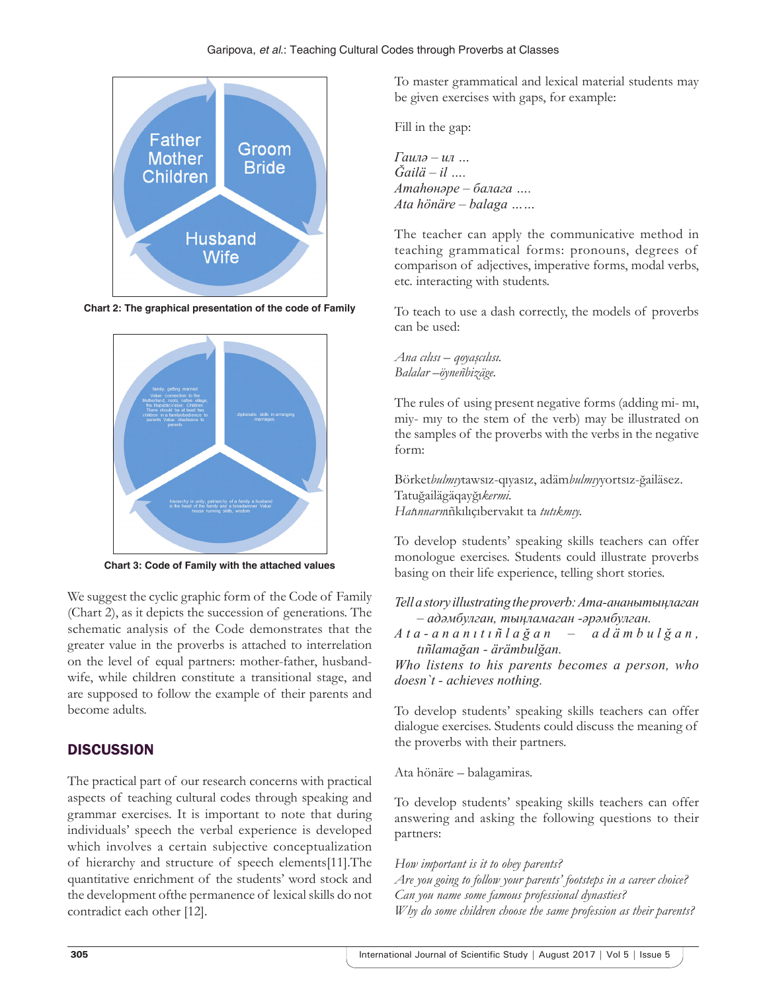

**Chart 2: The graphical presentation of the code of Family**



**Chart 3: Code of Family with the attached values**

We suggest the cyclic graphic form of the Code of Family (Chart 2), as it depicts the succession of generations. The schematic analysis of the Code demonstrates that the greater value in the proverbs is attached to interrelation on the level of equal partners: mother-father, husbandwife, while children constitute a transitional stage, and are supposed to follow the example of their parents and become adults.

## **DISCUSSION**

The practical part of our research concerns with practical aspects of teaching cultural codes through speaking and grammar exercises. It is important to note that during individuals' speech the verbal experience is developed which involves a certain subjective conceptualization of hierarchy and structure of speech elements[11].The quantitative enrichment of the students' word stock and the development ofthe permanence of lexical skills do not contradict each other [12].

To master grammatical and lexical material students may be given exercises with gaps, for example:

Fill in the gap:

*Гаилә – ил … Ğailä – il …. Атаһөнәре – балагa …. Ata hönäre – balaga ……*

The teacher can apply the communicative method in teaching grammatical forms: pronouns, degrees of comparison of adjectives, imperative forms, modal verbs, etc. interacting with students.

To teach to use a dash correctly, the models of proverbs can be used:

*Ana cılısı – qoyaşcılısı. Balalar –öyneñbizäge.*

The rules of using present negative forms (adding mi- mı, miy- mıy to the stem of the verb) may be illustrated on the samples of the proverbs with the verbs in the negative form:

Börket*bulmıy*tawsız-qıyasız, adäm*bulmıy*yortsız-ğailäsez. Tatuğailägäqayğı*kermi. Hat*ı*nnarn*ıñkılıçıbervakıt ta *tutıkmıy.*

To develop students' speaking skills teachers can offer monologue exercises. Students could illustrate proverbs basing on their life experience, telling short stories.

*Tell a story illustrating the proverb: Ата-ананытыңлаган – адәмбулган, тыңламаган -әрәмбулган.*

*A t a - a n a n ı t ı ñ l a ğ a n – a d ä m b u l ğ a n , tıñlamağan - ärämbulğan.*

*Who listens to his parents becomes a person, who doesn`t - achieves nothing.*

To develop students' speaking skills teachers can offer dialogue exercises. Students could discuss the meaning of the proverbs with their partners.

Ata hönäre – balagamiras.

To develop students' speaking skills teachers can offer answering and asking the following questions to their partners:

*How important is it to obey parents?*

*Are you going to follow your parents' footsteps in a career choice? Can you name some famous professional dynasties? Why do some children choose the same profession as their parents?*